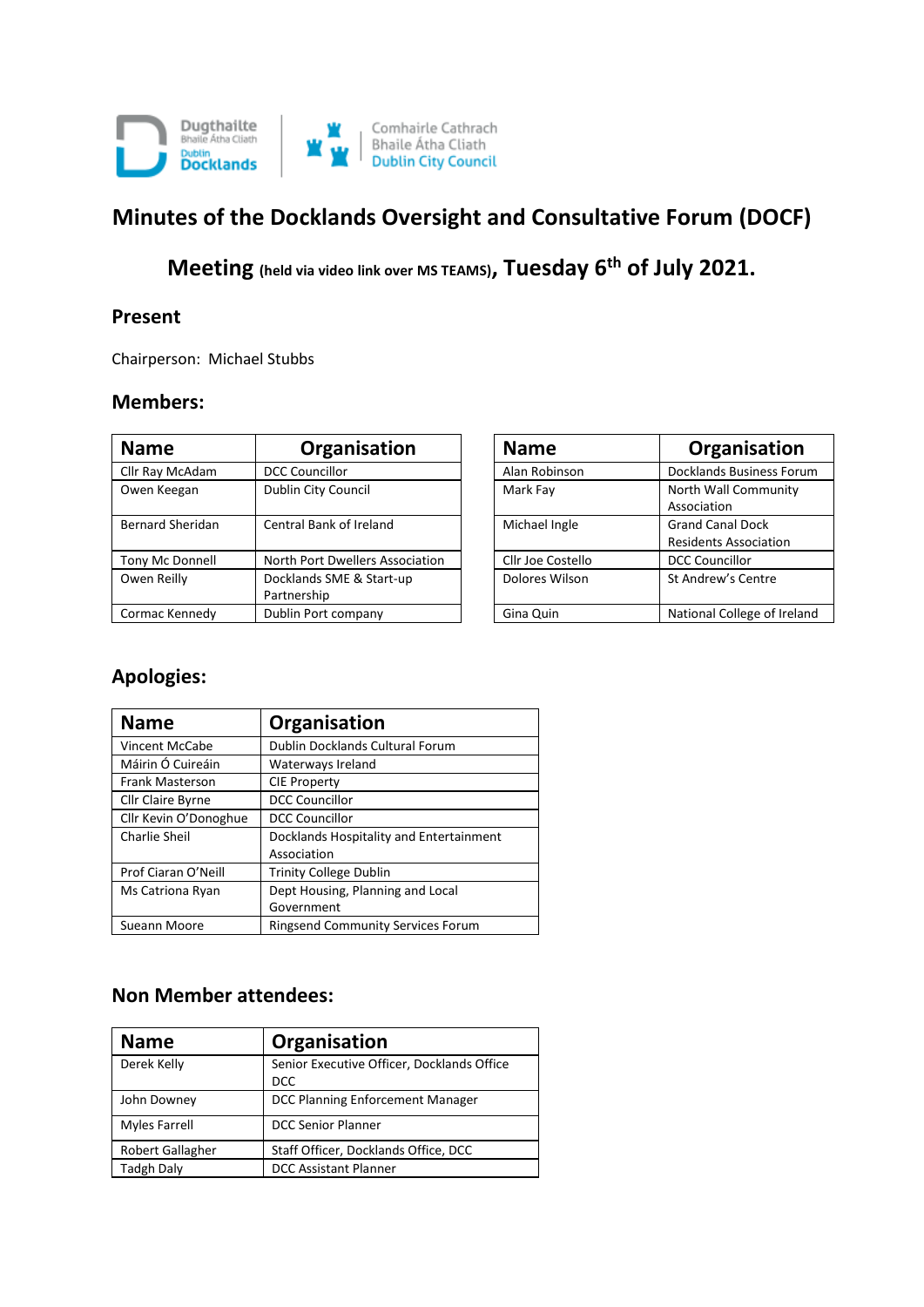

# **Minutes of the Docklands Oversight and Consultative Forum (DOCF)**

**Meeting (held via video link over MS TEAMS), Tuesday 6th of July 2021.**

#### **Present**

Chairperson: Michael Stubbs

#### **Members:**

| <b>Name</b>             | Organisation                            | <b>Name</b>       | Organisation                                            |  |
|-------------------------|-----------------------------------------|-------------------|---------------------------------------------------------|--|
| Cllr Ray McAdam         | <b>DCC Councillor</b>                   | Alan Robinson     | <b>Docklands Business Forum</b>                         |  |
| Owen Keegan             | Dublin City Council                     | Mark Fay          | North Wall Community<br>Association                     |  |
| <b>Bernard Sheridan</b> | Central Bank of Ireland                 | Michael Ingle     | <b>Grand Canal Dock</b><br><b>Residents Association</b> |  |
| Tony Mc Donnell         | North Port Dwellers Association         | Cllr Joe Costello | <b>DCC Councillor</b>                                   |  |
| Owen Reilly             | Docklands SME & Start-up<br>Partnership | Dolores Wilson    | St Andrew's Centre                                      |  |
| Cormac Kennedy          | Dublin Port company                     | Gina Quin         | National College of Ireland                             |  |

| <b>Name</b>       | Organisation                 |
|-------------------|------------------------------|
| Alan Robinson     | Docklands Business Forum     |
| Mark Fay          | North Wall Community         |
|                   | Association                  |
| Michael Ingle     | <b>Grand Canal Dock</b>      |
|                   | <b>Residents Association</b> |
| Cllr Joe Costello | <b>DCC Councillor</b>        |
| Dolores Wilson    | St Andrew's Centre           |
| Gina Quin         | National College of Ireland  |

### **Apologies:**

| <b>Name</b>              | Organisation                             |
|--------------------------|------------------------------------------|
| Vincent McCabe           | Dublin Docklands Cultural Forum          |
| Máirin Ó Cuireáin        | Waterways Ireland                        |
| <b>Frank Masterson</b>   | <b>CIE Property</b>                      |
| <b>Cllr Claire Byrne</b> | <b>DCC Councillor</b>                    |
| Cllr Kevin O'Donoghue    | <b>DCC Councillor</b>                    |
| Charlie Sheil            | Docklands Hospitality and Entertainment  |
|                          | Association                              |
| Prof Ciaran O'Neill      | <b>Trinity College Dublin</b>            |
| Ms Catriona Ryan         | Dept Housing, Planning and Local         |
|                          | Government                               |
| Sueann Moore             | <b>Ringsend Community Services Forum</b> |

### **Non Member attendees:**

| <b>Name</b>          | Organisation                                             |
|----------------------|----------------------------------------------------------|
| Derek Kelly          | Senior Executive Officer, Docklands Office<br><b>DCC</b> |
| John Downey          | DCC Planning Enforcement Manager                         |
| <b>Myles Farrell</b> | <b>DCC Senior Planner</b>                                |
| Robert Gallagher     | Staff Officer, Docklands Office, DCC                     |
| <b>Tadgh Daly</b>    | <b>DCC Assistant Planner</b>                             |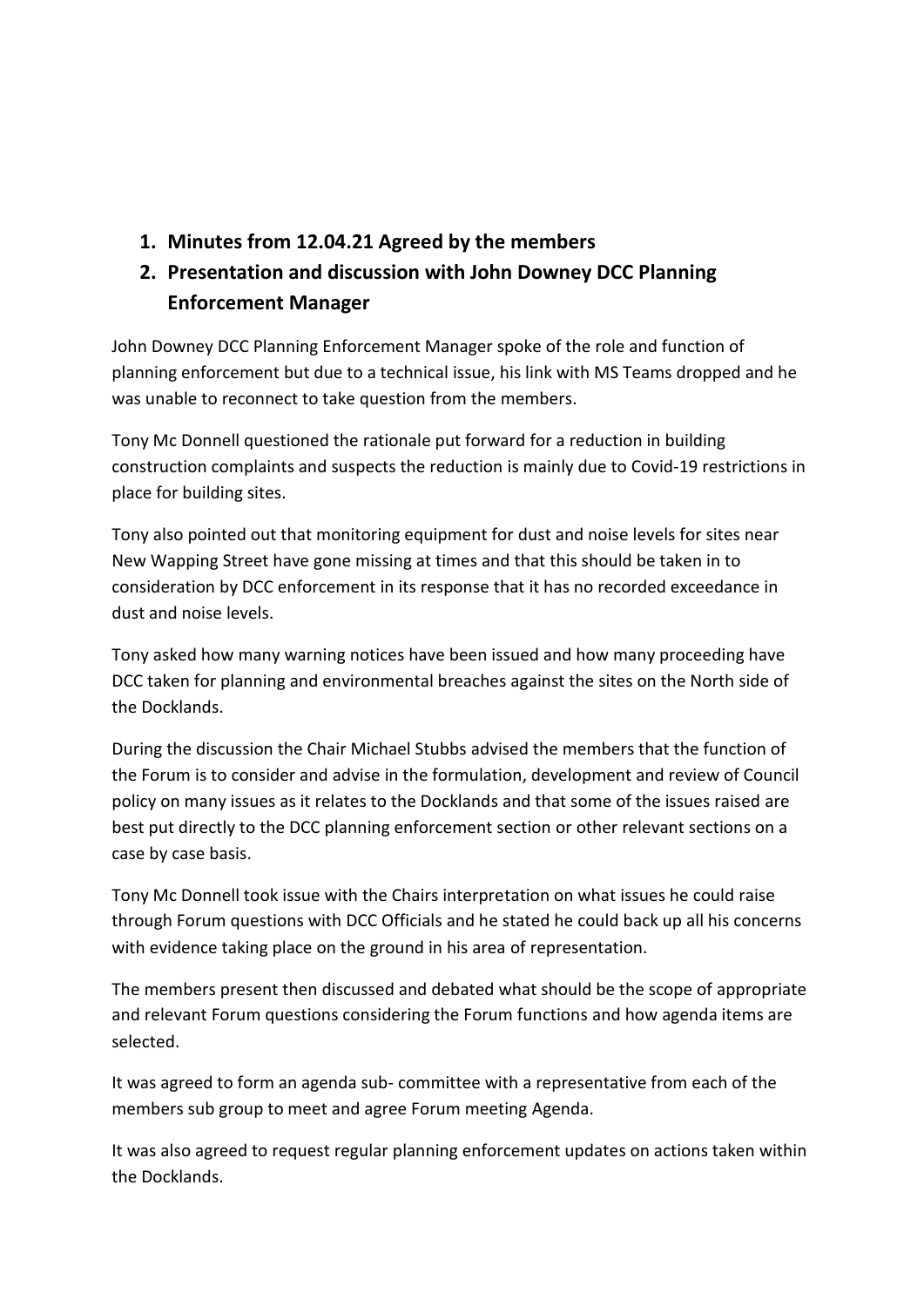**1. Minutes from 12.04.21 Agreed by the members**

# **2. Presentation and discussion with John Downey DCC Planning Enforcement Manager**

John Downey DCC Planning Enforcement Manager spoke of the role and function of planning enforcement but due to a technical issue, his link with MS Teams dropped and he was unable to reconnect to take question from the members.

Tony Mc Donnell questioned the rationale put forward for a reduction in building construction complaints and suspects the reduction is mainly due to Covid-19 restrictions in place for building sites.

Tony also pointed out that monitoring equipment for dust and noise levels for sites near New Wapping Street have gone missing at times and that this should be taken in to consideration by DCC enforcement in its response that it has no recorded exceedance in dust and noise levels.

Tony asked how many warning notices have been issued and how many proceeding have DCC taken for planning and environmental breaches against the sites on the North side of the Docklands.

During the discussion the Chair Michael Stubbs advised the members that the function of the Forum is to consider and advise in the formulation, development and review of Council policy on many issues as it relates to the Docklands and that some of the issues raised are best put directly to the DCC planning enforcement section or other relevant sections on a case by case basis.

Tony Mc Donnell took issue with the Chairs interpretation on what issues he could raise through Forum questions with DCC Officials and he stated he could back up all his concerns with evidence taking place on the ground in his area of representation.

The members present then discussed and debated what should be the scope of appropriate and relevant Forum questions considering the Forum functions and how agenda items are selected.

It was agreed to form an agenda sub- committee with a representative from each of the members sub group to meet and agree Forum meeting Agenda.

It was also agreed to request regular planning enforcement updates on actions taken within the Docklands.